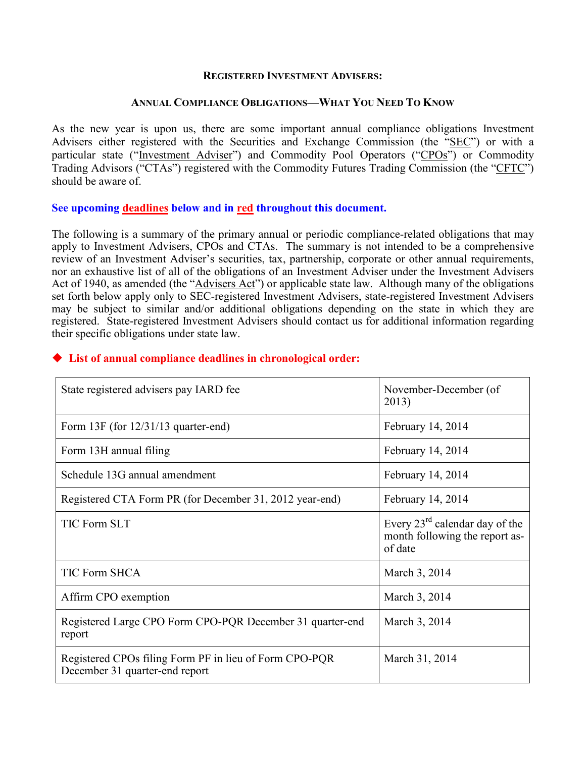#### **REGISTERED INVESTMENT ADVISERS:**

#### **ANNUAL COMPLIANCE OBLIGATIONS—WHAT YOU NEED TO KNOW**

As the new year is upon us, there are some important annual compliance obligations Investment Advisers either registered with the Securities and Exchange Commission (the "SEC") or with a particular state ("Investment Adviser") and Commodity Pool Operators ("CPOs") or Commodity Trading Advisors ("CTAs") registered with the Commodity Futures Trading Commission (the "CFTC") should be aware of.

## **See upcoming deadlines below and in red throughout this document.**

The following is a summary of the primary annual or periodic compliance-related obligations that may apply to Investment Advisers, CPOs and CTAs. The summary is not intended to be a comprehensive review of an Investment Adviser's securities, tax, partnership, corporate or other annual requirements, nor an exhaustive list of all of the obligations of an Investment Adviser under the Investment Advisers Act of 1940, as amended (the "Advisers Act") or applicable state law. Although many of the obligations set forth below apply only to SEC-registered Investment Advisers, state-registered Investment Advisers may be subject to similar and/or additional obligations depending on the state in which they are registered. State-registered Investment Advisers should contact us for additional information regarding their specific obligations under state law.

| State registered advisers pay IARD fee                                                   | November-December (of<br>2013)                                                          |
|------------------------------------------------------------------------------------------|-----------------------------------------------------------------------------------------|
| Form $13F$ (for $12/31/13$ quarter-end)                                                  | February 14, 2014                                                                       |
| Form 13H annual filing                                                                   | February 14, 2014                                                                       |
| Schedule 13G annual amendment                                                            | February 14, 2014                                                                       |
| Registered CTA Form PR (for December 31, 2012 year-end)                                  | February 14, 2014                                                                       |
| <b>TIC Form SLT</b>                                                                      | Every $23^{\text{rd}}$ calendar day of the<br>month following the report as-<br>of date |
| <b>TIC Form SHCA</b>                                                                     | March 3, 2014                                                                           |
| Affirm CPO exemption                                                                     | March 3, 2014                                                                           |
| Registered Large CPO Form CPO-PQR December 31 quarter-end<br>report                      | March 3, 2014                                                                           |
| Registered CPOs filing Form PF in lieu of Form CPO-PQR<br>December 31 quarter-end report | March 31, 2014                                                                          |

## **List of annual compliance deadlines in chronological order:**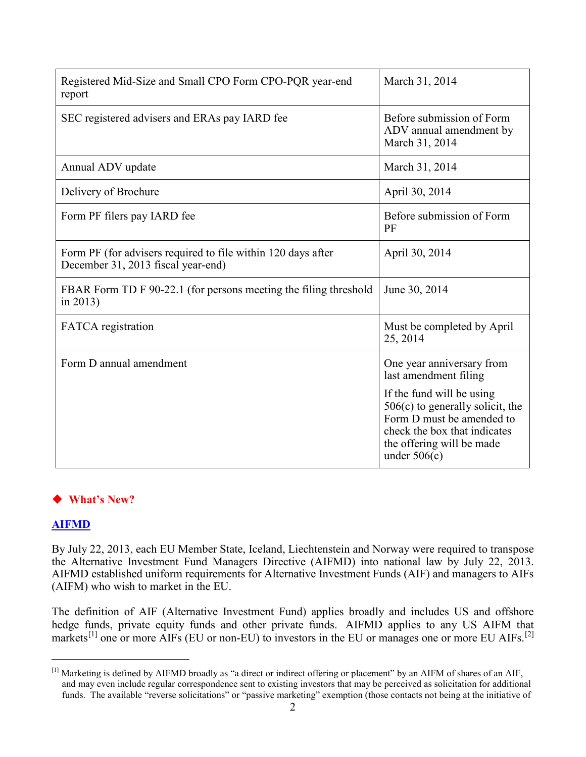| Registered Mid-Size and Small CPO Form CPO-PQR year-end<br>report                                  | March 31, 2014                                                                                                                                 |
|----------------------------------------------------------------------------------------------------|------------------------------------------------------------------------------------------------------------------------------------------------|
| SEC registered advisers and ERAs pay IARD fee                                                      | Before submission of Form<br>ADV annual amendment by<br>March 31, 2014                                                                         |
| Annual ADV update                                                                                  | March 31, 2014                                                                                                                                 |
| Delivery of Brochure                                                                               | April 30, 2014                                                                                                                                 |
| Form PF filers pay IARD fee                                                                        | Before submission of Form<br>PF                                                                                                                |
| Form PF (for advisers required to file within 120 days after<br>December 31, 2013 fiscal year-end) | April 30, 2014                                                                                                                                 |
| FBAR Form TD F 90-22.1 (for persons meeting the filing threshold<br>in $2013$ )                    | June 30, 2014                                                                                                                                  |
| <b>FATCA</b> registration                                                                          | Must be completed by April<br>25, 2014                                                                                                         |
| Form D annual amendment                                                                            | One year anniversary from<br>last amendment filing<br>If the fund will be using                                                                |
|                                                                                                    | $506(c)$ to generally solicit, the<br>Form D must be amended to<br>check the box that indicates<br>the offering will be made<br>under $506(c)$ |

# **What's New?**

# **AIFMD**

By July 22, 2013, each EU Member State, Iceland, Liechtenstein and Norway were required to transpose the Alternative Investment Fund Managers Directive (AIFMD) into national law by July 22, 2013. AIFMD established uniform requirements for Alternative Investment Funds (AIF) and managers to AIFs (AIFM) who wish to market in the EU.

The definition of AIF (Alternative Investment Fund) applies broadly and includes US and offshore hedge funds, private equity funds and other private funds. AIFMD applies to any US AIFM that markets<sup>[\[1\]](#page-1-0)</sup> one or more AIFs (EU or non-EU) to investors in the EU or manages one or more EU AIFs.<sup>[\[2\]](#page-1-1)</sup>

<span id="page-1-1"></span><span id="page-1-0"></span><sup>[1]</sup> Marketing is defined by AIFMD broadly as "a direct or indirect offering or placement" by an AIFM of shares of an AIF, and may even include regular correspondence sent to existing investors that may be perceived as solicitation for additional funds. The available "reverse solicitations" or "passive marketing" exemption (those contacts not being at the initiative of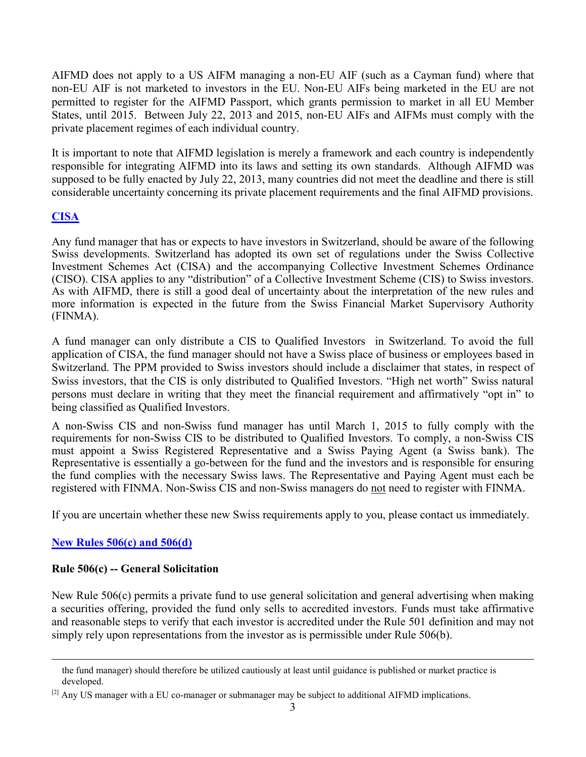AIFMD does not apply to a US AIFM managing a non-EU AIF (such as a Cayman fund) where that non-EU AIF is not marketed to investors in the EU. Non-EU AIFs being marketed in the EU are not permitted to register for the AIFMD Passport, which grants permission to market in all EU Member States, until 2015. Between July 22, 2013 and 2015, non-EU AIFs and AIFMs must comply with the private placement regimes of each individual country.

It is important to note that AIFMD legislation is merely a framework and each country is independently responsible for integrating AIFMD into its laws and setting its own standards. Although AIFMD was supposed to be fully enacted by July 22, 2013, many countries did not meet the deadline and there is still considerable uncertainty concerning its private placement requirements and the final AIFMD provisions.

# **CISA**

Any fund manager that has or expects to have investors in Switzerland, should be aware of the following Swiss developments. Switzerland has adopted its own set of regulations under the Swiss Collective Investment Schemes Act (CISA) and the accompanying Collective Investment Schemes Ordinance (CISO). CISA applies to any "distribution" of a Collective Investment Scheme (CIS) to Swiss investors. As with AIFMD, there is still a good deal of uncertainty about the interpretation of the new rules and more information is expected in the future from the Swiss Financial Market Supervisory Authority (FINMA).

A fund manager can only distribute a CIS to Qualified Investors in Switzerland. To avoid the full application of CISA, the fund manager should not have a Swiss place of business or employees based in Switzerland. The PPM provided to Swiss investors should include a disclaimer that states, in respect of Swiss investors, that the CIS is only distributed to Qualified Investors. "High net worth" Swiss natural persons must declare in writing that they meet the financial requirement and affirmatively "opt in" to being classified as Qualified Investors.

A non-Swiss CIS and non-Swiss fund manager has until March 1, 2015 to fully comply with the requirements for non-Swiss CIS to be distributed to Qualified Investors. To comply, a non-Swiss CIS must appoint a Swiss Registered Representative and a Swiss Paying Agent (a Swiss bank). The Representative is essentially a go-between for the fund and the investors and is responsible for ensuring the fund complies with the necessary Swiss laws. The Representative and Paying Agent must each be registered with FINMA. Non-Swiss CIS and non-Swiss managers do not need to register with FINMA.

If you are uncertain whether these new Swiss requirements apply to you, please contact us immediately.

# **New Rules 506(c) and 506(d)**

# **Rule 506(c) -- General Solicitation**

New Rule 506(c) permits a private fund to use general solicitation and general advertising when making a securities offering, provided the fund only sells to accredited investors. Funds must take affirmative and reasonable steps to verify that each investor is accredited under the Rule 501 definition and may not simply rely upon representations from the investor as is permissible under Rule 506(b).

the fund manager) should therefore be utilized cautiously at least until guidance is published or market practice is developed.

<sup>&</sup>lt;sup>[2]</sup> Any US manager with a EU co-manager or submanager may be subject to additional AIFMD implications.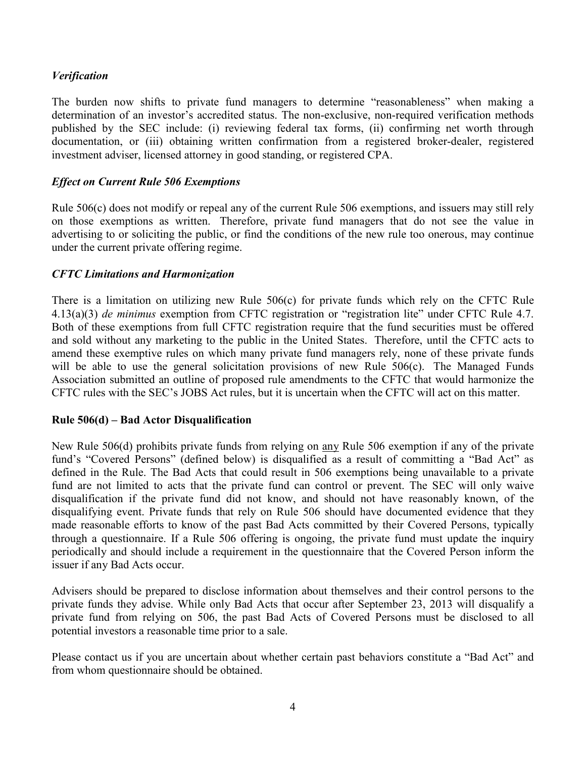# *Verification*

The burden now shifts to private fund managers to determine "reasonableness" when making a determination of an investor's accredited status. The non-exclusive, non-required verification methods published by the SEC include: (i) reviewing federal tax forms, (ii) confirming net worth through documentation, or (iii) obtaining written confirmation from a registered broker-dealer, registered investment adviser, licensed attorney in good standing, or registered CPA.

# *Effect on Current Rule 506 Exemptions*

Rule 506(c) does not modify or repeal any of the current Rule 506 exemptions, and issuers may still rely on those exemptions as written. Therefore, private fund managers that do not see the value in advertising to or soliciting the public, or find the conditions of the new rule too onerous, may continue under the current private offering regime.

## *CFTC Limitations and Harmonization*

There is a limitation on utilizing new Rule 506(c) for private funds which rely on the CFTC Rule 4.13(a)(3) *de minimus* exemption from CFTC registration or "registration lite" under CFTC Rule 4.7. Both of these exemptions from full CFTC registration require that the fund securities must be offered and sold without any marketing to the public in the United States. Therefore, until the CFTC acts to amend these exemptive rules on which many private fund managers rely, none of these private funds will be able to use the general solicitation provisions of new Rule 506(c). The Managed Funds Association submitted an outline of proposed rule amendments to the CFTC that would harmonize the CFTC rules with the SEC's JOBS Act rules, but it is uncertain when the CFTC will act on this matter.

## **Rule 506(d) – Bad Actor Disqualification**

New Rule 506(d) prohibits private funds from relying on any Rule 506 exemption if any of the private fund's "Covered Persons" (defined below) is disqualified as a result of committing a "Bad Act" as defined in the Rule. The Bad Acts that could result in 506 exemptions being unavailable to a private fund are not limited to acts that the private fund can control or prevent. The SEC will only waive disqualification if the private fund did not know, and should not have reasonably known, of the disqualifying event. Private funds that rely on Rule 506 should have documented evidence that they made reasonable efforts to know of the past Bad Acts committed by their Covered Persons, typically through a questionnaire. If a Rule 506 offering is ongoing, the private fund must update the inquiry periodically and should include a requirement in the questionnaire that the Covered Person inform the issuer if any Bad Acts occur.

Advisers should be prepared to disclose information about themselves and their control persons to the private funds they advise. While only Bad Acts that occur after September 23, 2013 will disqualify a private fund from relying on 506, the past Bad Acts of Covered Persons must be disclosed to all potential investors a reasonable time prior to a sale.

Please contact us if you are uncertain about whether certain past behaviors constitute a "Bad Act" and from whom questionnaire should be obtained.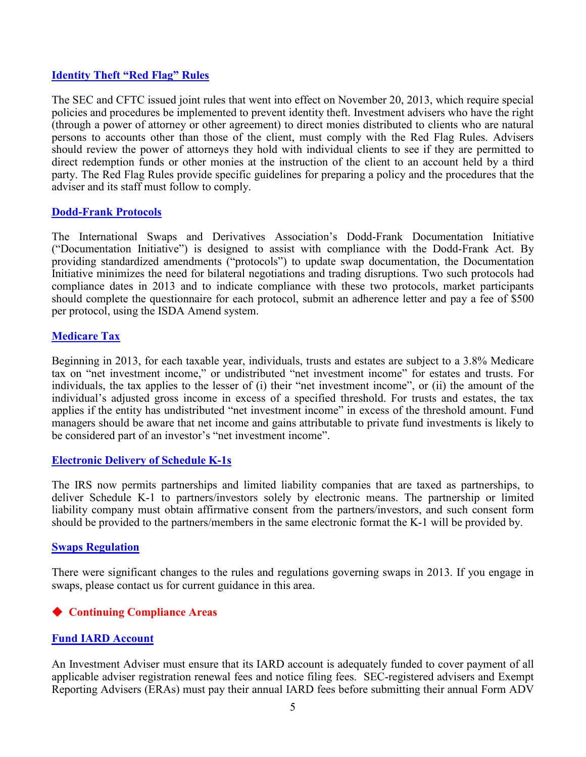## **Identity Theft "Red Flag" Rules**

The SEC and CFTC issued joint rules that went into effect on November 20, 2013, which require special policies and procedures be implemented to prevent identity theft. Investment advisers who have the right (through a power of attorney or other agreement) to direct monies distributed to clients who are natural persons to accounts other than those of the client, must comply with the Red Flag Rules. Advisers should review the power of attorneys they hold with individual clients to see if they are permitted to direct redemption funds or other monies at the instruction of the client to an account held by a third party. The Red Flag Rules provide specific guidelines for preparing a policy and the procedures that the adviser and its staff must follow to comply.

## **Dodd-Frank Protocols**

The International Swaps and Derivatives Association's Dodd-Frank Documentation Initiative ("Documentation Initiative") is designed to assist with compliance with the Dodd-Frank Act. By providing standardized amendments ("protocols") to update swap documentation, the Documentation Initiative minimizes the need for bilateral negotiations and trading disruptions. Two such protocols had compliance dates in 2013 and to indicate compliance with these two protocols, market participants should complete the questionnaire for each protocol, submit an adherence letter and pay a fee of \$500 per protocol, using the ISDA Amend system.

## **Medicare Tax**

Beginning in 2013, for each taxable year, individuals, trusts and estates are subject to a 3.8% Medicare tax on "net investment income," or undistributed "net investment income" for estates and trusts. For individuals, the tax applies to the lesser of (i) their "net investment income", or (ii) the amount of the individual's adjusted gross income in excess of a specified threshold. For trusts and estates, the tax applies if the entity has undistributed "net investment income" in excess of the threshold amount. Fund managers should be aware that net income and gains attributable to private fund investments is likely to be considered part of an investor's "net investment income".

## **Electronic Delivery of Schedule K-1s**

The IRS now permits partnerships and limited liability companies that are taxed as partnerships, to deliver Schedule K-1 to partners/investors solely by electronic means. The partnership or limited liability company must obtain affirmative consent from the partners/investors, and such consent form should be provided to the partners/members in the same electronic format the K-1 will be provided by.

## **Swaps Regulation**

There were significant changes to the rules and regulations governing swaps in 2013. If you engage in swaps, please contact us for current guidance in this area.

# **Continuing Compliance Areas**

## **Fund IARD Account**

An Investment Adviser must ensure that its IARD account is adequately funded to cover payment of all applicable adviser registration renewal fees and notice filing fees. SEC-registered advisers and Exempt Reporting Advisers (ERAs) must pay their annual IARD fees before submitting their annual Form ADV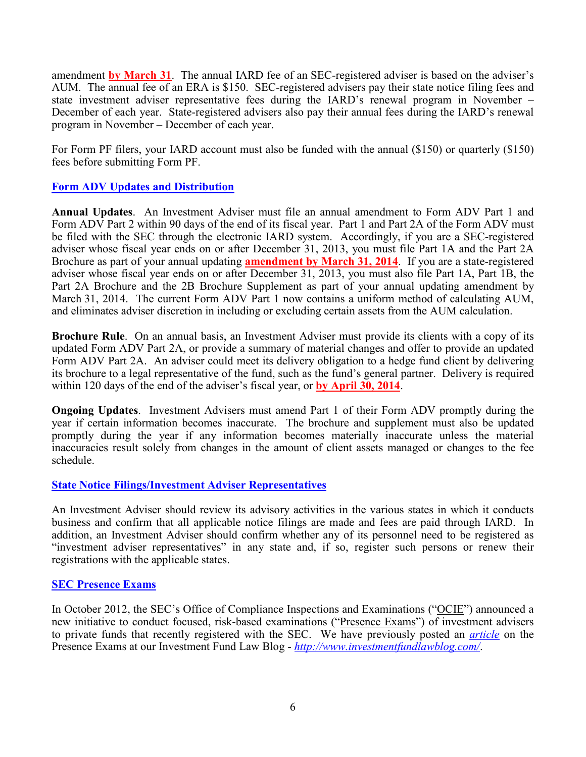amendment **by March 31**. The [annual IARD fee](http://www.iard.com/fee_schedule.asp) of an SEC-registered adviser is based on the adviser's AUM. The annual fee of an ERA is \$150. SEC-registered advisers pay their state notice filing fees and state investment adviser representative fees during the IARD's renewal program in November – December of each year. State-registered advisers also pay their annual fees during the IARD's renewal program in November – December of each year.

For Form PF filers, your IARD account must also be funded with the annual (\$150) or quarterly (\$150) fees before submitting Form PF.

## **[Form ADV](http://www.sec.gov/about/forms/formadv.pdf) Updates and Distribution**

**Annual Updates**. An Investment Adviser must file an annual amendment to Form ADV Part 1 and Form ADV Part 2 within 90 days of the end of its fiscal year. Part 1 and Part 2A of the Form ADV must be filed with the SEC through the electronic IARD system. Accordingly, if you are a SEC-registered adviser whose fiscal year ends on or after December 31, 2013, you must file Part 1A and the Part 2A Brochure as part of your annual updating **amendment by March 31, 2014**. If you are a state-registered adviser whose fiscal year ends on or after December 31, 2013, you must also file Part 1A, Part 1B, the Part 2A Brochure and the 2B Brochure Supplement as part of your annual updating amendment by March 31, 2014. The current Form ADV Part 1 now contains a uniform method of calculating AUM, and eliminates adviser discretion in including or excluding certain assets from the AUM calculation.

**Brochure Rule**. On an annual basis, an Investment Adviser must provide its clients with a copy of its updated Form ADV Part 2A, or provide a summary of material changes and offer to provide an updated Form ADV Part 2A. An adviser could meet its delivery obligation to a hedge fund client by delivering its brochure to a legal representative of the fund, such as the fund's general partner. Delivery is required within 120 days of the end of the adviser's fiscal year, or **by April 30, 2014**.

**Ongoing Updates.** Investment Advisers must amend Part 1 of their Form ADV promptly during the year if certain information becomes inaccurate. The brochure and supplement must also be updated promptly during the year if any information becomes materially inaccurate unless the material inaccuracies result solely from changes in the amount of client assets managed or changes to the fee schedule.

## **State Notice Filings/Investment Adviser Representatives**

An Investment Adviser should review its advisory activities in the various states in which it conducts business and confirm that all applicable notice filings are made and fees are paid through IARD. In addition, an Investment Adviser should confirm whether any of its personnel need to be registered as "investment adviser representatives" in any state and, if so, register such persons or renew their registrations with the applicable states.

## **SEC Presence Exams**

In October 2012, the SEC's Office of Compliance Inspections and Examinations ("OCIE") announced a new initiative to conduct focused, risk-based examinations ("Presence Exams") of investment advisers to private funds that recently registered with the SEC. We have previously posted an *[article](http://www.investmentfundlawblog.com/investment-advisers/sec-to-conduct-presence-exams-of-newly-registered-investment-advisers/)* on the Presence Exams at our Investment Fund Law Blog - *<http://www.investmentfundlawblog.com/>*.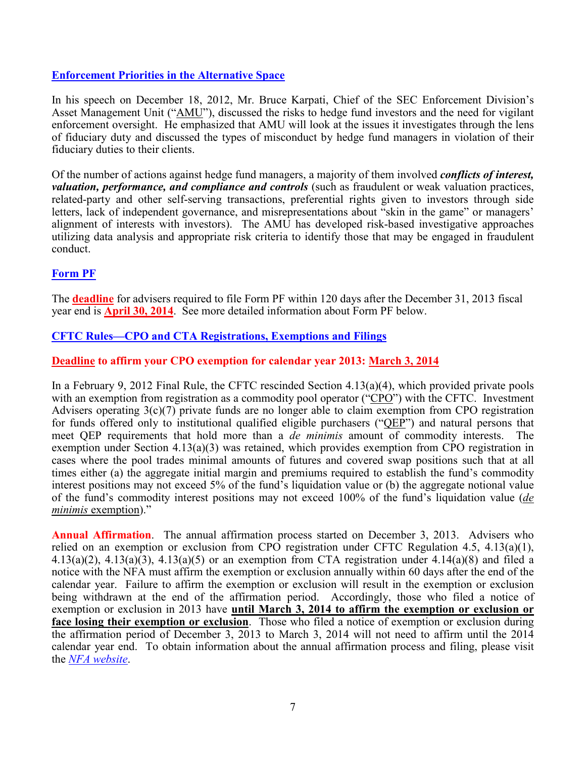# **[Enforcement Priorities in the Alternative Space](http://www.sec.gov/news/speech/2012/spch121812bk.htm)**

In his speech on December 18, 2012, Mr. Bruce Karpati, Chief of the SEC Enforcement Division's Asset Management Unit ("AMU"), discussed the risks to hedge fund investors and the need for vigilant enforcement oversight. He emphasized that AMU will look at the issues it investigates through the lens of fiduciary duty and discussed the types of misconduct by hedge fund managers in violation of their fiduciary duties to their clients.

Of the number of actions against hedge fund managers, a majority of them involved *conflicts of interest, valuation, performance, and compliance and controls* (such as fraudulent or weak valuation practices, related-party and other self-serving transactions, preferential rights given to investors through side letters, lack of independent governance, and misrepresentations about "skin in the game" or managers' alignment of interests with investors). The AMU has developed risk-based investigative approaches utilizing data analysis and appropriate risk criteria to identify those that may be engaged in fraudulent conduct.

# **Form PF**

The **deadline** for advisers required to file Form PF within 120 days after the December 31, 2013 fiscal year end is **April 30, 2014**. See more detailed information about Form PF below.

# **CFTC Rules—CPO and CTA Registrations, Exemptions and Filings**

# **Deadline to affirm your CPO exemption for calendar year 2013: March 3, 2014**

In a February 9, 2012 Final Rule, the CFTC rescinded Section 4.13(a)(4), which provided private pools with an exemption from registration as a commodity pool operator ("CPO") with the CFTC. Investment Advisers operating 3(c)(7) private funds are no longer able to claim exemption from CPO registration for funds offered only to institutional qualified eligible purchasers (" $QE\vec{P}$ ") and natural persons that meet QEP requirements that hold more than a *de minimis* amount of commodity interests. The exemption under Section 4.13(a)(3) was retained, which provides exemption from CPO registration in cases where the pool trades minimal amounts of futures and covered swap positions such that at all times either (a) the aggregate initial margin and premiums required to establish the fund's commodity interest positions may not exceed 5% of the fund's liquidation value or (b) the aggregate notional value of the fund's commodity interest positions may not exceed 100% of the fund's liquidation value (*de minimis* exemption)."

**Annual Affirmation**. The annual affirmation process started on December 3, 2013. Advisers who relied on an exemption or exclusion from CPO registration under CFTC Regulation 4.5, 4.13(a)(1),  $4.13(a)(2)$ ,  $4.13(a)(3)$ ,  $4.13(a)(5)$  or an exemption from CTA registration under  $4.14(a)(8)$  and filed a notice with the NFA must affirm the exemption or exclusion annually within 60 days after the end of the calendar year. Failure to affirm the exemption or exclusion will result in the exemption or exclusion being withdrawn at the end of the affirmation period. Accordingly, those who filed a notice of exemption or exclusion in 2013 have **until March 3, 2014 to affirm the exemption or exclusion or face losing their exemption or exclusion**. Those who filed a notice of exemption or exclusion during the affirmation period of December 3, 2013 to March 3, 2014 will not need to affirm until the 2014 calendar year end. To obtain information about the annual affirmation process and filing, please visit the *[NFA website](http://www.nfa.futures.org/news/newsNotice.asp?ArticleID=4158)*.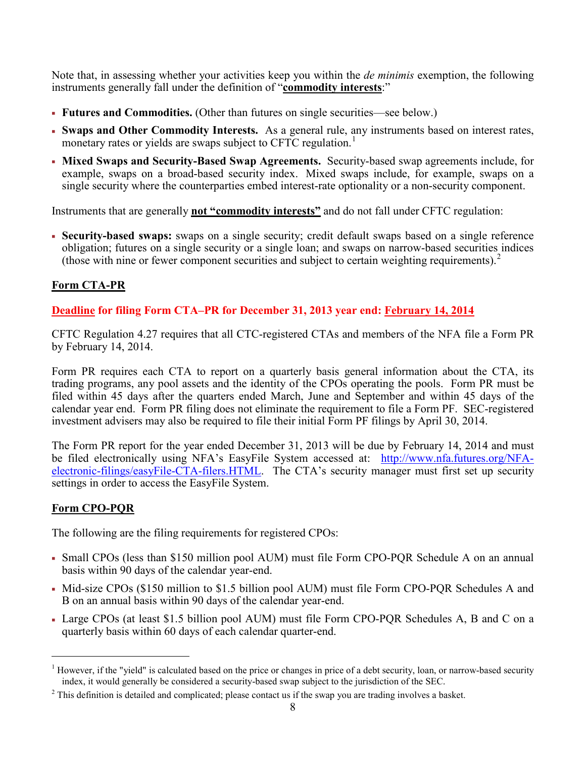Note that, in assessing whether your activities keep you within the *de minimis* exemption, the following instruments generally fall under the definition of "**commodity interests**:"

- **Futures and Commodities.** (Other than futures on single securities—see below.)
- **Swaps and Other Commodity Interests.** As a general rule, any instruments based on interest rates, monetary rates or yields are swaps subject to CFTC regulation.<sup>[1](#page-7-0)</sup>
- **Mixed Swaps and Security-Based Swap Agreements.** Security-based swap agreements include, for example, swaps on a broad-based security index. Mixed swaps include, for example, swaps on a single security where the counterparties embed interest-rate optionality or a non-security component.

Instruments that are generally **not "commodity interests"** and do not fall under CFTC regulation:

 **Security-based swaps:** swaps on a single security; credit default swaps based on a single reference obligation; futures on a single security or a single loan; and swaps on narrow-based securities indices (those with nine or fewer component securities and subject to certain weighting requirements).[2](#page-7-1)

# **Form CTA-PR**

# **Deadline for filing Form CTA–PR for December 31, 2013 year end: February 14, 2014**

CFTC Regulation 4.27 requires that all CTC-registered CTAs and members of the NFA file a Form PR by February 14, 2014.

Form PR requires each CTA to report on a quarterly basis general information about the CTA, its trading programs, any pool assets and the identity of the CPOs operating the pools. Form PR must be filed within 45 days after the quarters ended March, June and September and within 45 days of the calendar year end. Form PR filing does not eliminate the requirement to file a Form PF. SEC-registered investment advisers may also be required to file their initial Form PF filings by April 30, 2014.

The Form PR report for the year ended December 31, 2013 will be due by February 14, 2014 and must be filed electronically using NFA's EasyFile System accessed at: [http://www.nfa.futures.org/NFA](http://www.nfa.futures.org/NFA-electronic-filings/easyFile-CTA-filers.HTML)[electronic-filings/easyFile-CTA-filers.HTML.](http://www.nfa.futures.org/NFA-electronic-filings/easyFile-CTA-filers.HTML) The CTA's security manager must first set up security settings in order to access the EasyFile System.

# **Form CPO-PQR**

The following are the filing requirements for registered CPOs:

- Small CPOs (less than \$150 million pool AUM) must file Form CPO-PQR Schedule A on an annual basis within 90 days of the calendar year-end.
- Mid-size CPOs (\$150 million to \$1.5 billion pool AUM) must file Form CPO-PQR Schedules A and B on an annual basis within 90 days of the calendar year-end.
- Large CPOs (at least \$1.5 billion pool AUM) must file Form CPO-PQR Schedules A, B and C on a quarterly basis within 60 days of each calendar quarter-end.

<span id="page-7-0"></span> <sup>1</sup> However, if the "yield" is calculated based on the price or changes in price of a debt security, loan, or narrow-based security index, it would generally be considered a security-based swap subject to the jurisdiction of the SEC.

<span id="page-7-1"></span><sup>&</sup>lt;sup>2</sup> This definition is detailed and complicated; please contact us if the swap you are trading involves a basket.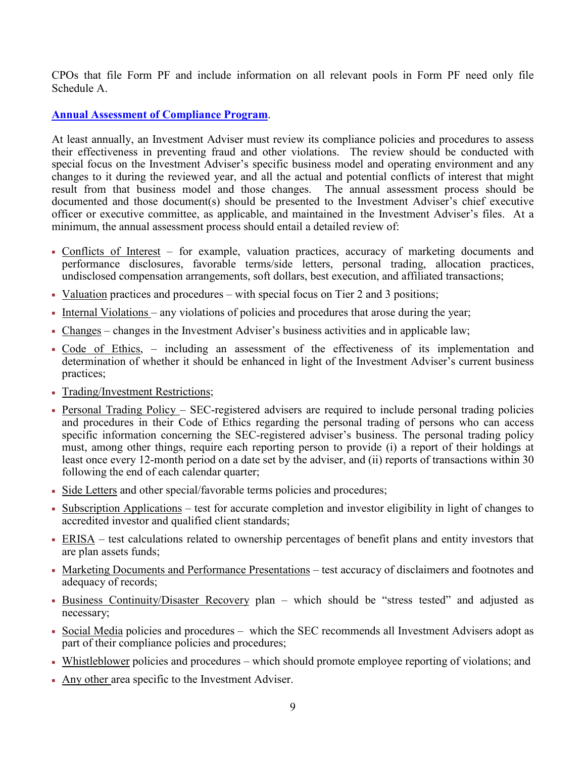CPOs that file Form PF and include information on all relevant pools in Form PF need only file Schedule A.

# **Annual Assessment of Compliance Program**.

At least annually, an Investment Adviser must review its compliance policies and procedures to assess their effectiveness in preventing fraud and other violations. The review should be conducted with special focus on the Investment Adviser's specific business model and operating environment and any changes to it during the reviewed year, and all the actual and potential conflicts of interest that might result from that business model and those changes. The annual assessment process should be documented and those document(s) should be presented to the Investment Adviser's chief executive officer or executive committee, as applicable, and maintained in the Investment Adviser's files. At a minimum, the annual assessment process should entail a detailed review of:

- Conflicts of Interest for example, valuation practices, accuracy of marketing documents and performance disclosures, favorable terms/side letters, personal trading, allocation practices, undisclosed compensation arrangements, soft dollars, best execution, and affiliated transactions;
- Valuation practices and procedures with special focus on Tier 2 and 3 positions;
- Internal Violations any violations of policies and procedures that arose during the year;
- Changes changes in the Investment Adviser's business activities and in applicable law;
- Code of Ethics, including an assessment of the effectiveness of its implementation and determination of whether it should be enhanced in light of the Investment Adviser's current business practices;
- Trading/Investment Restrictions;
- Personal Trading Policy SEC-registered advisers are required to include personal trading policies and procedures in their Code of Ethics regarding the personal trading of persons who can access specific information concerning the SEC-registered adviser's business. The personal trading policy must, among other things, require each reporting person to provide (i) a report of their holdings at least once every 12-month period on a date set by the adviser, and (ii) reports of transactions within 30 following the end of each calendar quarter;
- Side Letters and other special/favorable terms policies and procedures;
- Subscription Applications test for accurate completion and investor eligibility in light of changes to accredited investor and qualified client standards;
- ERISA test calculations related to ownership percentages of benefit plans and entity investors that are plan assets funds;
- Marketing Documents and Performance Presentations test accuracy of disclaimers and footnotes and adequacy of records;
- Business Continuity/Disaster Recovery plan which should be "stress tested" and adjusted as necessary;
- Social Media policies and procedures which the SEC recommends all Investment Advisers adopt as part of their compliance policies and procedures;
- Whistleblower policies and procedures which should promote employee reporting of violations; and
- Any other area specific to the Investment Adviser.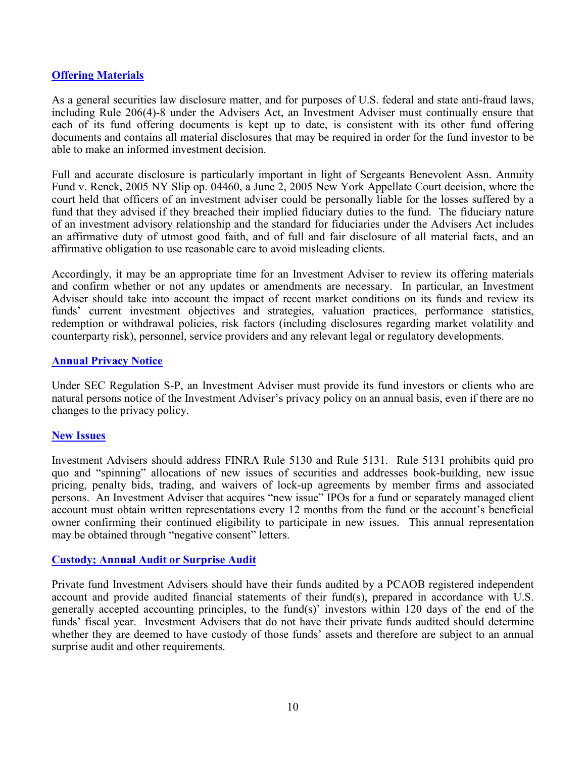## **Offering Materials**

As a general securities law disclosure matter, and for purposes of U.S. federal and state anti-fraud laws, including Rule 206(4)-8 under the Advisers Act, an Investment Adviser must continually ensure that each of its fund offering documents is kept up to date, is consistent with its other fund offering documents and contains all material disclosures that may be required in order for the fund investor to be able to make an informed investment decision.

Full and accurate disclosure is particularly important in light of Sergeants Benevolent Assn. Annuity Fund v. Renck, 2005 NY Slip op. 04460, a June 2, 2005 New York Appellate Court decision, where the court held that officers of an investment adviser could be personally liable for the losses suffered by a fund that they advised if they breached their implied fiduciary duties to the fund. The fiduciary nature of an investment advisory relationship and the standard for fiduciaries under the Advisers Act includes an affirmative duty of utmost good faith, and of full and fair disclosure of all material facts, and an affirmative obligation to use reasonable care to avoid misleading clients.

Accordingly, it may be an appropriate time for an Investment Adviser to review its offering materials and confirm whether or not any updates or amendments are necessary. In particular, an Investment Adviser should take into account the impact of recent market conditions on its funds and review its funds' current investment objectives and strategies, valuation practices, performance statistics, redemption or withdrawal policies, risk factors (including disclosures regarding market volatility and counterparty risk), personnel, service providers and any relevant legal or regulatory developments.

## **Annual Privacy Notice**

Under SEC Regulation S-P, an Investment Adviser must provide its fund investors or clients who are natural persons notice of the Investment Adviser's privacy policy on an annual basis, even if there are no changes to the privacy policy.

## **New Issues**

Investment Advisers should address FINRA Rule 5130 and Rule 5131. Rule 5131 prohibits quid pro quo and "spinning" allocations of new issues of securities and addresses book-building, new issue pricing, penalty bids, trading, and waivers of lock-up agreements by member firms and associated persons. An Investment Adviser that acquires "new issue" IPOs for a fund or separately managed client account must obtain written representations every 12 months from the fund or the account's beneficial owner confirming their continued eligibility to participate in new issues. This annual representation may be obtained through "negative consent" letters.

## **Custody; Annual Audit or Surprise Audit**

Private fund Investment Advisers should have their funds audited by a PCAOB registered independent account and provide audited financial statements of their fund(s), prepared in accordance with U.S. generally accepted accounting principles, to the fund(s)' investors within 120 days of the end of the funds' fiscal year. Investment Advisers that do not have their private funds audited should determine whether they are deemed to have custody of those funds' assets and therefore are subject to an annual surprise audit and other requirements.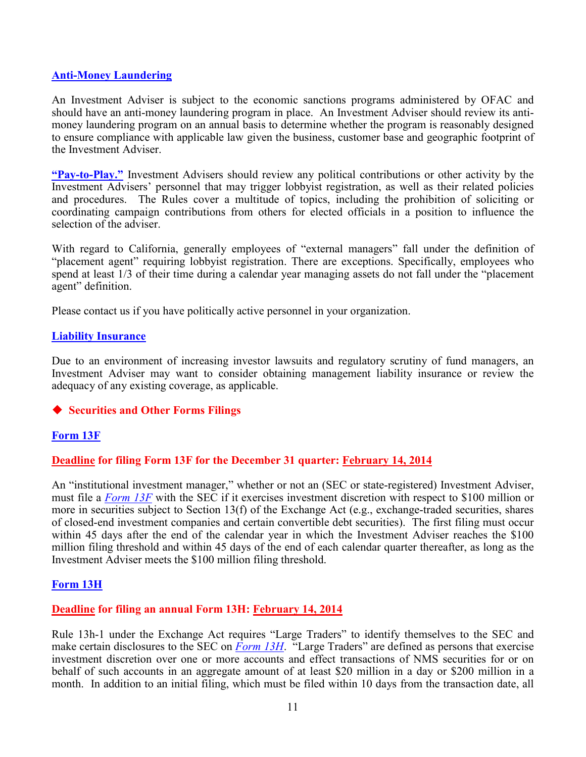#### **Anti-Money Laundering**

An Investment Adviser is subject to the economic sanctions programs administered by OFAC and should have an anti-money laundering program in place. An Investment Adviser should review its antimoney laundering program on an annual basis to determine whether the program is reasonably designed to ensure compliance with applicable law given the business, customer base and geographic footprint of the Investment Adviser.

**"Pay-to-Play."** Investment Advisers should review any political contributions or other activity by the Investment Advisers' personnel that may trigger lobbyist registration, as well as their related policies and procedures. The Rules cover a multitude of topics, including the prohibition of soliciting or coordinating campaign contributions from others for elected officials in a position to influence the selection of the adviser.

With regard to California, generally employees of "external managers" fall under the definition of "placement agent" requiring lobbyist registration. There are exceptions. Specifically, employees who spend at least 1/3 of their time during a calendar year managing assets do not fall under the "placement agent" definition.

Please contact us if you have politically active personnel in your organization.

#### **Liability Insurance**

Due to an environment of increasing investor lawsuits and regulatory scrutiny of fund managers, an Investment Adviser may want to consider obtaining management liability insurance or review the adequacy of any existing coverage, as applicable.

## **Securities and Other Forms Filings**

## **Form 13F**

## **Deadline for filing Form 13F for the December 31 quarter: February 14, 2014**

An "institutional investment manager," whether or not an (SEC or state-registered) Investment Adviser, must file a *[Form 13F](http://www.sec.gov/about/forms/form13f.pdf)* with the SEC if it exercises investment discretion with respect to \$100 million or more in securities subject to Section 13(f) of the Exchange Act (e.g., exchange-traded securities, shares of closed-end investment companies and certain convertible debt securities). The first filing must occur within 45 days after the end of the calendar year in which the Investment Adviser reaches the \$100 million filing threshold and within 45 days of the end of each calendar quarter thereafter, as long as the Investment Adviser meets the \$100 million filing threshold.

## **Form 13H**

## **Deadline for filing an annual Form 13H: February 14, 2014**

Rule 13h-1 under the Exchange Act requires "Large Traders" to identify themselves to the SEC and make certain disclosures to the SEC on *[Form 13H](http://www.sec.gov/about/forms/form13h.pdf)*. "Large Traders" are defined as persons that exercise investment discretion over one or more accounts and effect transactions of NMS securities for or on behalf of such accounts in an aggregate amount of at least \$20 million in a day or \$200 million in a month. In addition to an initial filing, which must be filed within 10 days from the transaction date, all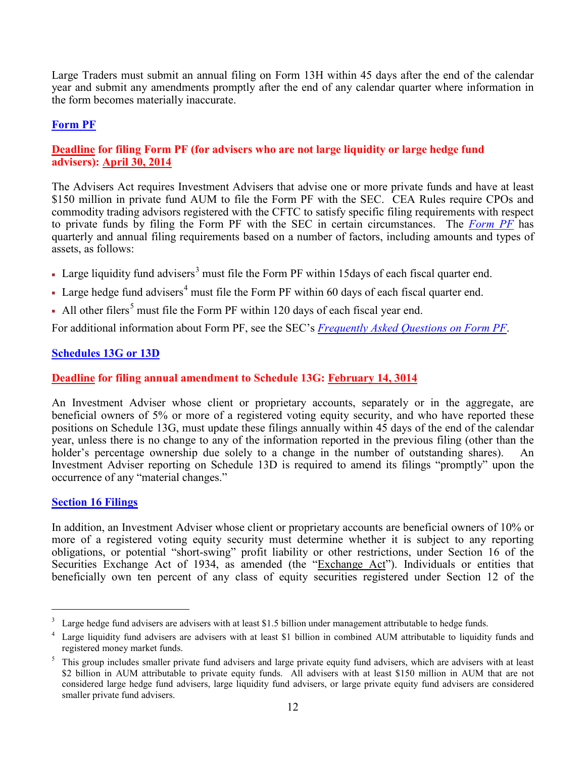Large Traders must submit an annual filing on Form 13H within 45 days after the end of the calendar year and submit any amendments promptly after the end of any calendar quarter where information in the form becomes materially inaccurate.

# **Form PF**

# **Deadline for filing Form PF (for advisers who are not large liquidity or large hedge fund advisers): April 30, 2014**

The Advisers Act requires Investment Advisers that advise one or more private funds and have at least \$150 million in private fund AUM to file the Form PF with the SEC. CEA Rules require CPOs and commodity trading advisors registered with the CFTC to satisfy specific filing requirements with respect to private funds by filing the Form PF with the SEC in certain circumstances. The *[Form PF](http://www.sec.gov/about/forms/formpf.pdf)* has quarterly and annual filing requirements based on a number of factors, including amounts and types of assets, as follows:

- Large liquidity fund advisers<sup>[3](#page-11-0)</sup> must file the Form PF within 15days of each fiscal quarter end.
- Large hedge fund advisers<sup>[4](#page-11-1)</sup> must file the Form PF within 60 days of each fiscal quarter end.
- All other filers<sup>[5](#page-11-2)</sup> must file the Form PF within 120 days of each fiscal year end.

For additional information about Form PF, see the SEC's *[Frequently Asked Questions on Form PF](http://www.sec.gov/divisions/investment/pfrd/pfrdfaq.shtml)*.

# **Schedules 13G or 13D**

# **Deadline for filing annual amendment to Schedule 13G: February 14, 3014**

An Investment Adviser whose client or proprietary accounts, separately or in the aggregate, are beneficial owners of 5% or more of a registered voting equity security, and who have reported these positions on Schedule 13G, must update these filings annually within 45 days of the end of the calendar year, unless there is no change to any of the information reported in the previous filing (other than the holder's percentage ownership due solely to a change in the number of outstanding shares). An Investment Adviser reporting on Schedule 13D is required to amend its filings "promptly" upon the occurrence of any "material changes."

## **Section 16 Filings**

In addition, an Investment Adviser whose client or proprietary accounts are beneficial owners of 10% or more of a registered voting equity security must determine whether it is subject to any reporting obligations, or potential "short-swing" profit liability or other restrictions, under Section 16 of the Securities Exchange Act of 1934, as amended (the "Exchange Act"). Individuals or entities that beneficially own ten percent of any class of equity securities registered under Section 12 of the

<span id="page-11-0"></span> $3\text{ Large hedge fund្nd advisers are advisers with at least $1.5 billion under management attributable to hedge funds.$ 

<span id="page-11-1"></span>Large liquidity fund advisers are advisers with at least \$1 billion in combined AUM attributable to liquidity funds and registered money market funds.

<span id="page-11-2"></span><sup>&</sup>lt;sup>5</sup> This group includes smaller private fund advisers and large private equity fund advisers, which are advisers with at least \$2 billion in AUM attributable to private equity funds. All advisers with at least \$150 million in AUM that are not considered large hedge fund advisers, large liquidity fund advisers, or large private equity fund advisers are considered smaller private fund advisers.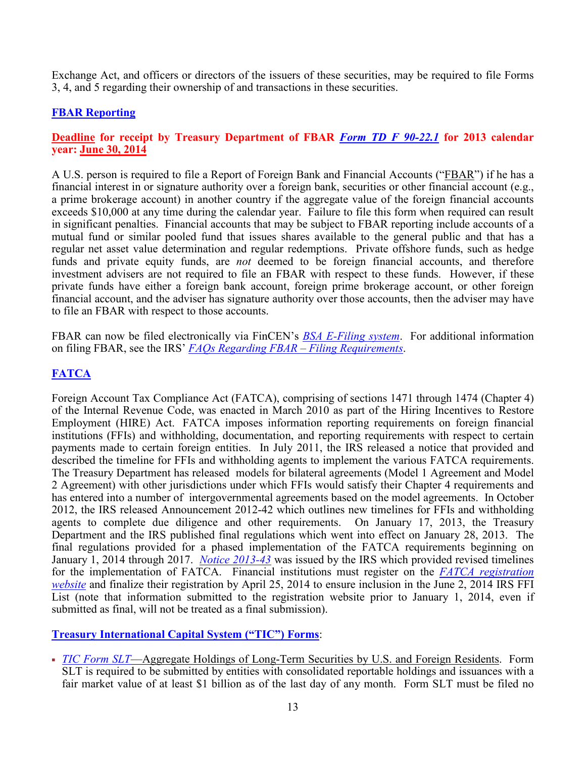Exchange Act, and officers or directors of the issuers of these securities, may be required to file Forms 3, 4, and 5 regarding their ownership of and transactions in these securities.

# **FBAR Reporting**

# **Deadline for receipt by Treasury Department of FBAR** *[Form TD F 90-22.1](http://www.irs.gov/pub/irs-pdf/f90221.pdf)* **for 2013 calendar year: June 30, 2014**

A U.S. person is required to file a Report of Foreign Bank and Financial Accounts ("FBAR") if he has a financial interest in or signature authority over a foreign bank, securities or other financial account (e.g., a prime brokerage account) in another country if the aggregate value of the foreign financial accounts exceeds \$10,000 at any time during the calendar year. Failure to file this form when required can result in significant penalties. Financial accounts that may be subject to FBAR reporting include accounts of a mutual fund or similar pooled fund that issues shares available to the general public and that has a regular net asset value determination and regular redemptions. Private offshore funds, such as hedge funds and private equity funds, are *not* deemed to be foreign financial accounts, and therefore investment advisers are not required to file an FBAR with respect to these funds. However, if these private funds have either a foreign bank account, foreign prime brokerage account, or other foreign financial account, and the adviser has signature authority over those accounts, then the adviser may have to file an FBAR with respect to those accounts.

FBAR can now be filed electronically via FinCEN's *[BSA E-Filing system](http://bsaefiling.fincen.treas.gov/Enroll_Individual.html)*. For additional information on filing FBAR, see the IRS' *[FAQs Regarding FBAR –](http://www.irs.gov/Businesses/Small-Businesses-&-Self-Employed/FAQs-Regarding-Report-of-Foreign-Bank-and-Financial-Accounts-(FBAR)---Filing-Requirements) Filing Requirements*.

# **FATCA**

Foreign Account Tax Compliance Act (FATCA), comprising of sections 1471 through 1474 (Chapter 4) of the Internal Revenue Code, was enacted in March 2010 as part of the Hiring Incentives to Restore Employment (HIRE) Act. FATCA imposes information reporting requirements on foreign financial institutions (FFIs) and withholding, documentation, and reporting requirements with respect to certain payments made to certain foreign entities. In July 2011, the IRS released a notice that provided and described the timeline for FFIs and withholding agents to implement the various FATCA requirements. The Treasury Department has released models for bilateral agreements [\(Model 1 Agreement](http://www.treasury.gov/resource-center/tax-policy/treaties/Documents/FATCA-Model-1A-Agreement-to-Implement-Reciprocal-11-14-2012.pdf) and [Model](http://www.treasury.gov/resource-center/tax-policy/treaties/Documents/FATCA-Model-2-Agreement-to-Implement-11-14-2012.pdf) [2 Agreement\)](http://www.treasury.gov/resource-center/tax-policy/treaties/Documents/FATCA-Model-2-Agreement-to-Implement-11-14-2012.pdf) with other jurisdictions under which FFIs would satisfy their Chapter 4 requirements and has entered into a number of intergovernmental agreements based on the model agreements. In October 2012, the IRS released [Announcement 2012-42](http://www.irs.gov/pub/irs-drop/A-12-42.pdf) which outlines new timelines for FFIs and withholding agents to complete due diligence and other requirements. On January 17, 2013, the Treasury Department and the IRS published final regulations which went into effect on January 28, 2013. The final regulations provided for a phased implementation of the FATCA requirements beginning on January 1, 2014 through 2017. *[Notice 2013-43](http://www.irs.gov/pub/irs-drop/n-13-43.pdf)* was issued by the IRS which provided revised timelines for the implementation of FATCA. Financial institutions must register on the *[FATCA registration](https://sa2.www4.irs.gov/fatca-rup/)  [website](https://sa2.www4.irs.gov/fatca-rup/)* and finalize their registration by April 25, 2014 to ensure inclusion in the June 2, 2014 IRS FFI List (note that information submitted to the registration website prior to January 1, 2014, even if submitted as final, will not be treated as a final submission).

# **Treasury International Capital System ("TIC") Forms**:

 *[TIC Form SLT](http://www.treasury.gov/resource-center/data-chart-center/tic/Pages/forms-slt.aspx)*—Aggregate Holdings of Long-Term Securities by U.S. and Foreign Residents. Form SLT is required to be submitted by entities with consolidated reportable holdings and issuances with a fair market value of at least \$1 billion as of the last day of any month. Form SLT must be filed no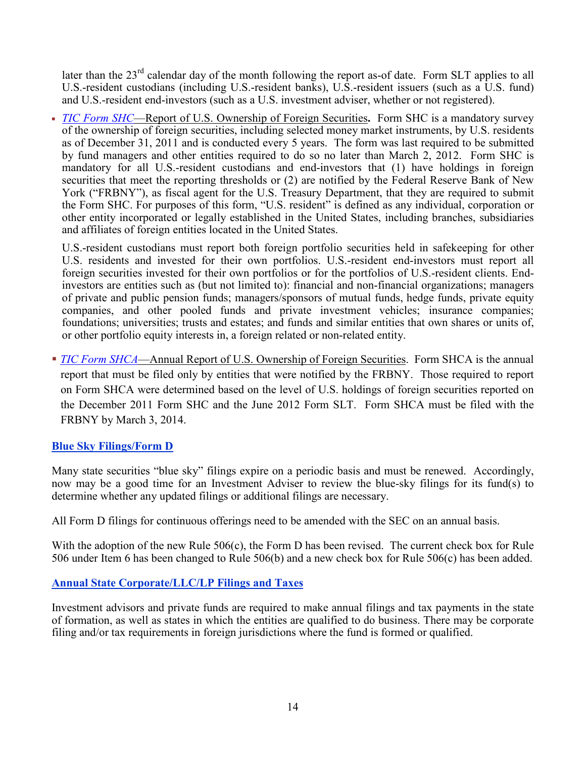later than the  $23<sup>rd</sup>$  calendar day of the month following the report as-of date. Form SLT applies to all U.S.-resident custodians (including U.S.-resident banks), U.S.-resident issuers (such as a U.S. fund) and U.S.-resident end-investors (such as a U.S. investment adviser, whether or not registered).

 *[TIC Form SHC](http://www.treasury.gov/resource-center/data-chart-center/tic/Pages/forms-sh.aspx#shc)*—Report of U.S. Ownership of Foreign Securities**.** Form SHC is a mandatory survey of the ownership of foreign securities, including selected money market instruments, by U.S. residents as of December 31, 2011 and is conducted every 5 years. The form was last required to be submitted by fund managers and other entities required to do so no later than March 2, 2012. Form SHC is mandatory for all U.S.-resident custodians and end-investors that (1) have holdings in foreign securities that meet the reporting thresholds or (2) are notified by the Federal Reserve Bank of New York ("FRBNY"), as fiscal agent for the U.S. Treasury Department, that they are required to submit the Form SHC. For purposes of this form, "U.S. resident" is defined as any individual, corporation or other entity incorporated or legally established in the United States, including branches, subsidiaries and affiliates of foreign entities located in the United States.

U.S.-resident custodians must report both foreign portfolio securities held in safekeeping for other U.S. residents and invested for their own portfolios. U.S.-resident end-investors must report all foreign securities invested for their own portfolios or for the portfolios of U.S.-resident clients. Endinvestors are entities such as (but not limited to): financial and non-financial organizations; managers of private and public pension funds; managers/sponsors of mutual funds, hedge funds, private equity companies, and other pooled funds and private investment vehicles; insurance companies; foundations; universities; trusts and estates; and funds and similar entities that own shares or units of, or other portfolio equity interests in, a foreign related or non-related entity.

**[TIC Form SHCA](http://www.treasury.gov/resource-center/data-chart-center/tic/Documents/shca2012in.pdf)—Annual Report of U.S. Ownership of Foreign Securities. Form SHCA is the annual** report that must be filed only by entities that were notified by the FRBNY. Those required to report on Form SHCA were determined based on the level of U.S. holdings of foreign securities reported on the December 2011 Form SHC and the June 2012 Form SLT. Form SHCA must be filed with the FRBNY by March 3, 2014.

# **Blue Sky Filings/Form D**

Many state securities "blue sky" filings expire on a periodic basis and must be renewed. Accordingly, now may be a good time for an Investment Adviser to review the blue-sky filings for its fund(s) to determine whether any updated filings or additional filings are necessary.

All Form D filings for continuous offerings need to be amended with the SEC on an annual basis.

With the adoption of the new Rule 506(c), the Form D has been revised. The current check box for Rule 506 under Item 6 has been changed to Rule 506(b) and a new check box for Rule 506(c) has been added.

# **Annual State Corporate/LLC/LP Filings and Taxes**

Investment advisors and private funds are required to make annual filings and tax payments in the state of formation, as well as states in which the entities are qualified to do business. There may be corporate filing and/or tax requirements in foreign jurisdictions where the fund is formed or qualified.